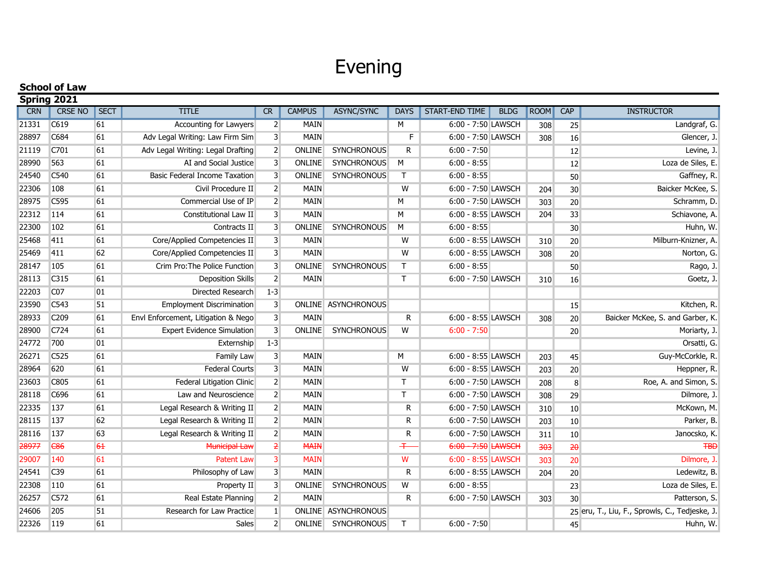## Evening

| <b>School of Law</b> |                 |             |                                      |                         |               |                     |              |                    |             |             |            |                                                |
|----------------------|-----------------|-------------|--------------------------------------|-------------------------|---------------|---------------------|--------------|--------------------|-------------|-------------|------------|------------------------------------------------|
|                      | Spring 2021     |             |                                      |                         |               |                     |              |                    |             |             |            |                                                |
| <b>CRN</b>           | <b>CRSE NO</b>  | <b>SECT</b> | <b>TITLE</b>                         | CR                      | <b>CAMPUS</b> | <b>ASYNC/SYNC</b>   | <b>DAYS</b>  | START-END TIME     | <b>BLDG</b> | <b>ROOM</b> | <b>CAP</b> | <b>INSTRUCTOR</b>                              |
| 21331                | C619            | 61          | <b>Accounting for Lawyers</b>        | $\overline{2}$          | <b>MAIN</b>   |                     | М            | 6:00 - 7:50 LAWSCH |             | 308         | 25         | Landgraf, G.                                   |
| 28897                | C684            | 61          | Adv Legal Writing: Law Firm Sim      | $\overline{3}$          | <b>MAIN</b>   |                     | F            | 6:00 - 7:50 LAWSCH |             | 308         | 16         | Glencer, J.                                    |
| 21119                | C701            | 61          | Adv Legal Writing: Legal Drafting    | $\overline{2}$          | <b>ONLINE</b> | <b>SYNCHRONOUS</b>  | R            | $6:00 - 7:50$      |             |             | 12         | Levine, J.                                     |
| 28990                | 563             | 61          | AI and Social Justice                | $\overline{3}$          | ONLINE        | <b>SYNCHRONOUS</b>  | М            | $6:00 - 8:55$      |             |             | 12         | Loza de Siles, E.                              |
| 24540                | C540            | 61          | <b>Basic Federal Income Taxation</b> | 3                       | <b>ONLINE</b> | <b>SYNCHRONOUS</b>  | T.           | $6:00 - 8:55$      |             |             | 50         | Gaffney, R.                                    |
| 22306                | 108             | 61          | Civil Procedure II                   | $\overline{2}$          | <b>MAIN</b>   |                     | W            | 6:00 - 7:50 LAWSCH |             | 204         | 30         | Baicker McKee, S.                              |
| 28975                | C595            | 61          | Commercial Use of IP                 | $\overline{2}$          | <b>MAIN</b>   |                     | М            | 6:00 - 7:50 LAWSCH |             | 303         | 20         | Schramm, D.                                    |
| 22312                | 114             | 61          | Constitutional Law II                | $\overline{3}$          | <b>MAIN</b>   |                     | M            | 6:00 - 8:55 LAWSCH |             | 204         | 33         | Schiavone, A.                                  |
| 22300                | 102             | 61          | Contracts II                         | 3                       | <b>ONLINE</b> | <b>SYNCHRONOUS</b>  | М            | $6:00 - 8:55$      |             |             | 30         | Huhn, W.                                       |
| 25468                | 411             | 61          | Core/Applied Competencies II         | $\overline{3}$          | <b>MAIN</b>   |                     | W            | 6:00 - 8:55 LAWSCH |             | 310         | 20         | Milburn-Knizner, A.                            |
| 25469                | 411             | 62          | Core/Applied Competencies II         | $\overline{3}$          | <b>MAIN</b>   |                     | W            | 6:00 - 8:55 LAWSCH |             | 308         | 20         | Norton, G.                                     |
| 28147                | 105             | 61          | Crim Pro: The Police Function        | 3                       | <b>ONLINE</b> | <b>SYNCHRONOUS</b>  | T.           | $6:00 - 8:55$      |             |             | 50         | Rago, J.                                       |
| 28113                | C315            | 61          | <b>Deposition Skills</b>             | $\overline{2}$          | <b>MAIN</b>   |                     | T.           | 6:00 - 7:50 LAWSCH |             | 310         | 16         | Goetz, J.                                      |
| 22203                | CO <sub>7</sub> | 01          | Directed Research                    | $1 - 3$                 |               |                     |              |                    |             |             |            |                                                |
| 23590                | C543            | 51          | <b>Employment Discrimination</b>     | 3                       |               | ONLINE ASYNCHRONOUS |              |                    |             |             | 15         | Kitchen, R.                                    |
| 28933                | C209            | 61          | Envl Enforcement, Litigation & Nego  | $\overline{3}$          | <b>MAIN</b>   |                     | R            | 6:00 - 8:55 LAWSCH |             | 308         | 20         | Baicker McKee, S. and Garber, K.               |
| 28900                | C724            | 61          | <b>Expert Evidence Simulation</b>    | 3                       | <b>ONLINE</b> | <b>SYNCHRONOUS</b>  | W            | $6:00 - 7:50$      |             |             | 20         | Moriarty, J.                                   |
| 24772                | 700             | 01          | Externship                           | $1 - 3$                 |               |                     |              |                    |             |             |            | Orsatti, G.                                    |
| 26271                | C525            | 61          | <b>Family Law</b>                    | $\overline{3}$          | <b>MAIN</b>   |                     | M            | 6:00 - 8:55 LAWSCH |             | 203         | 45         | Guy-McCorkle, R.                               |
| 28964                | 620             | 61          | Federal Courts                       | $\overline{3}$          | MAIN          |                     | W            | 6:00 - 8:55 LAWSCH |             | 203         | 20         | Heppner, R.                                    |
| 23603                | C805            | 61          | Federal Litigation Clinic            | $\overline{2}$          | <b>MAIN</b>   |                     | T            | 6:00 - 7:50 LAWSCH |             | 208         | 8          | Roe, A. and Simon, S.                          |
| 28118                | C696            | 61          | Law and Neuroscience                 | $\overline{2}$          | <b>MAIN</b>   |                     | T.           | 6:00 - 7:50 LAWSCH |             | 308         | 29         | Dilmore, J.                                    |
| 22335                | 137             | 61          | Legal Research & Writing II          | $\overline{2}$          | <b>MAIN</b>   |                     | R            | 6:00 - 7:50 LAWSCH |             | 310         | 10         | McKown, M.                                     |
| 28115                | 137             | 62          | Legal Research & Writing II          | $2 \vert$               | MAIN          |                     | R            | 6:00 - 7:50 LAWSCH |             | 203         | 10         | Parker, B.                                     |
| 28116                | 137             | 63          | Legal Research & Writing II          | $\overline{2}$          | <b>MAIN</b>   |                     | R            | 6:00 - 7:50 LAWSCH |             | 311         | 10         | Janocsko, K.                                   |
| 28977                | <b>E86</b>      | 61          | <b>Municipal Law</b>                 | $\overline{z}$          | <b>MAIN</b>   |                     | $+$          | 6:00 - 7:50 LAWSCH |             | 303         | 20         | <b>TBD</b>                                     |
| 29007                | 140             | 61          | Patent Law                           | $\mathbf{3}$            | <b>MAIN</b>   |                     | W            | 6:00 - 8:55 LAWSCH |             | 303         | 20         | Dilmore, J.                                    |
| 24541                | C <sub>39</sub> | 61          | Philosophy of Law                    | $\overline{3}$          | <b>MAIN</b>   |                     | $\mathsf{R}$ | 6:00 - 8:55 LAWSCH |             | 204         | 20         | Ledewitz, B.                                   |
| 22308                | 110             | 61          | Property II                          | $\overline{\mathbf{3}}$ | <b>ONLINE</b> | <b>SYNCHRONOUS</b>  | W            | $6:00 - 8:55$      |             |             | 23         | Loza de Siles, E.                              |
| 26257                | C572            | 61          | Real Estate Planning                 | $\overline{2}$          | <b>MAIN</b>   |                     | R            | 6:00 - 7:50 LAWSCH |             | 303         | 30         | Patterson, S.                                  |
| 24606                | 205             | 51          | Research for Law Practice            | $\mathbf{1}$            |               | ONLINE ASYNCHRONOUS |              |                    |             |             |            | 25 eru, T., Liu, F., Sprowls, C., Tedjeske, J. |
| 22326                | 119             | 61          | <b>Sales</b>                         | $\overline{2}$          |               | ONLINE SYNCHRONOUS  | Τ            | $6:00 - 7:50$      |             |             | 45         | Huhn, W.                                       |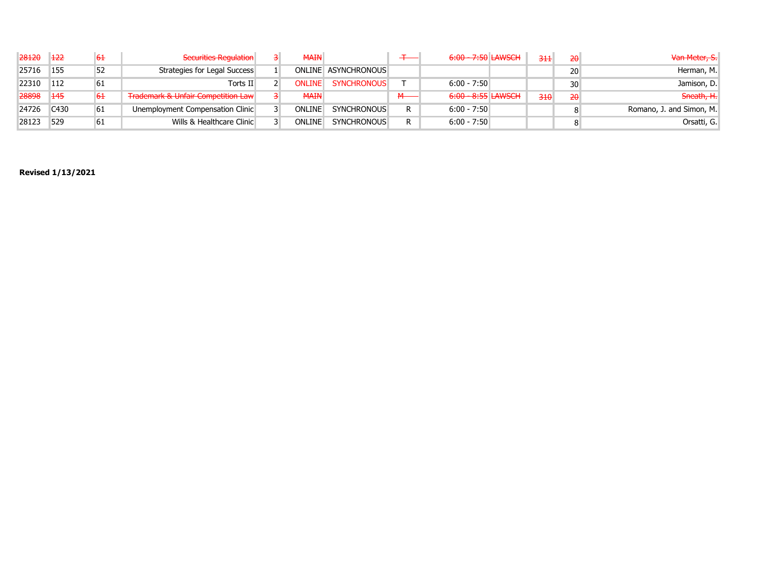| 28120 | 122  | 61  | Securities Regulation                         | <b>MAIN</b> |                     |    | 6:00 - 7:50 LAWSCH | 311 | 20              | Van Meter, S.            |
|-------|------|-----|-----------------------------------------------|-------------|---------------------|----|--------------------|-----|-----------------|--------------------------|
| 25716 | 155  | 52  | Strategies for Legal Success                  |             | ONLINE ASYNCHRONOUS |    |                    |     | 20 <sup>1</sup> | Herman, M.               |
| 22310 | 112  | 61  | Torts II                                      | ONLINEL     | <b>SYNCHRONOUS</b>  |    | $6:00 - 7:50$      |     | 30 <sup>1</sup> | Jamison, D.              |
| 28898 | 145  | 61  | <b>Trademark &amp; Unfair Competition Law</b> | <b>MAIN</b> |                     |    | 6:00 - 8:55 LAWSCH | 310 | 20              | Sneath, H.               |
| 24726 | C430 | 61  | Unemployment Compensation Clinic              | ONLINE      | <b>SYNCHRONOUS</b>  | R. | $6:00 - 7:50$      |     |                 | Romano, J. and Simon, M. |
| 28123 | 529  | -61 | Wills & Healthcare Clinic                     | ONLINE      | <b>SYNCHRONOUS</b>  | R. | $6:00 - 7:50$      |     |                 | Orsatti, G.              |

**Revised 1/13/2021**